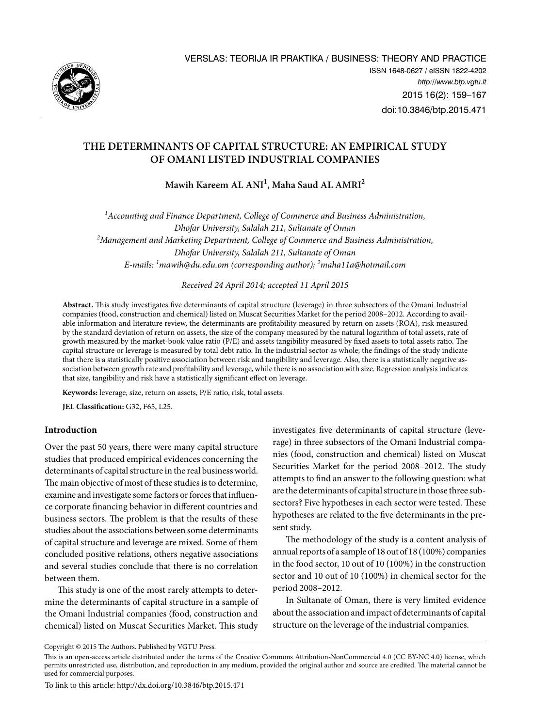

# **THE Determinants of capital STRUCTURE: AN empirical study of Omani listed INDUSTRIAL companies**

**Mawih Kareem AL ANI1 , Maha Saud AL AMRI2**

<sup>1</sup> Accounting and Finance Department, College of Commerce and Business Administration, *Dhofar University, Salalah 211, Sultanate of Oman 2 Management and Marketing Department, College of Commerce and Business Administration, Dhofar University, Salalah 211, Sultanate of Oman E-mails: 1 [mawih@du.edu.om](mailto:1mawih@du.edu.om) (corresponding author); 2 [maha11a@hotmail.com](mailto:2maha11a@hotmail.com)*

*Received 24 April 2014; accepted 11 April 2015*

**Abstract.** This study investigates five determinants of capital structure (leverage) in three subsectors of the Omani Industrial companies (food, construction and chemical) listed on Muscat Securities Market for the period 2008–2012. According to available information and literature review, the determinants are profitability measured by return on assets (ROA), risk measured by the standard deviation of return on assets, the size of the company measured by the natural logarithm of total assets, rate of growth measured by the market-book value ratio (P/E) and assets tangibility measured by fixed assets to total assets ratio. The capital structure or leverage is measured by total debt ratio. In the industrial sector as whole; the findings of the study indicate that there is a statistically positive association between risk and tangibility and leverage. Also, there is a statistically negative association between growth rate and profitability and leverage, while there is no association with size. Regression analysis indicates that size, tangibility and risk have a statistically significant effect on leverage.

**Keywords:** leverage, size, return on assets, P/E ratio, risk, total assets.

**JEL Classification:** G32, F65, L25.

# **Introduction**

Over the past 50 years, there were many capital structure studies that produced empirical evidences concerning the determinants of capital structure in the real business world. The main objective of most of these studies is to determine, examine and investigate some factors or forces that influence corporate financing behavior in different countries and business sectors. The problem is that the results of these studies about the associations between some determinants of capital structure and leverage are mixed. Some of them concluded positive relations, others negative associations and several studies conclude that there is no correlation between them.

This study is one of the most rarely attempts to determine the determinants of capital structure in a sample of the Omani Industrial companies (food, construction and chemical) listed on Muscat Securities Market. This study investigates five determinants of capital structure (leverage) in three subsectors of the Omani Industrial companies (food, construction and chemical) listed on Muscat Securities Market for the period 2008–2012. The study attempts to find an answer to the following question: what are the determinants of capital structure in those three subsectors? Five hypotheses in each sector were tested. These hypotheses are related to the five determinants in the present study.

The methodology of the study is a content analysis of annual reports of a sample of 18 out of 18 (100%) companies in the food sector, 10 out of 10 (100%) in the construction sector and 10 out of 10 (100%) in chemical sector for the period 2008–2012.

In Sultanate of Oman, there is very limited evidence about the association and impact of determinants of capital structure on the leverage of the industrial companies.

To link to this article: http:/[/dx.doi.org/10.3846/btp.2015.4](http://dx.doi.org/10.3846/btp.2014.01)71

Copyright © 2015 The Authors. Published by VGTU Press.

This is an open-access article distributed under the terms of the [Creative Commons Attribution-NonCommercial 4.0](http://creativecommons.org/licenses/by-nc/4.0/) (CC BY-NC 4.0) license, which permits unrestricted use, distribution, and reproduction in any medium, provided the original author and source are credited. The material cannot be used for commercial purposes.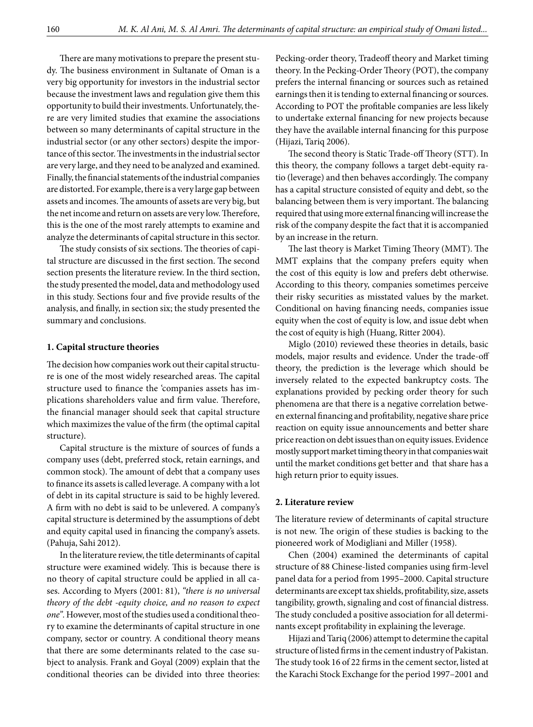There are many motivations to prepare the present study. The business environment in Sultanate of Oman is a very big opportunity for investors in the industrial sector because the investment laws and regulation give them this opportunity to build their investments. Unfortunately, there are very limited studies that examine the associations between so many determinants of capital structure in the industrial sector (or any other sectors) despite the importance of this sector. The investments in the industrial sector are very large, and they need to be analyzed and examined. Finally, the financial statements of the industrial companies are distorted. For example, there is a very large gap between assets and incomes. The amounts of assets are very big, but the net income and return on assets are very low. Therefore, this is the one of the most rarely attempts to examine and analyze the determinants of capital structure in this sector.

The study consists of six sections. The theories of capital structure are discussed in the first section. The second section presents the literature review. In the third section, the study presented the model, data and methodology used in this study. Sections four and five provide results of the analysis, and finally, in section six; the study presented the summary and conclusions.

## **1. Capital structure theories**

The decision how companies work out their capital structure is one of the most widely researched areas. The capital structure used to finance the 'companies assets has implications shareholders value and firm value. Therefore, the financial manager should seek that capital structure which maximizes the value of the firm (the optimal capital structure).

Capital structure is the mixture of sources of funds a company uses (debt, preferred stock, retain earnings, and common stock). The amount of debt that a company uses to finance its assets is called leverage. A company with a lot of debt in its capital structure is said to be highly levered. A firm with no debt is said to be unlevered. A company's capital structure is determined by the assumptions of debt and equity capital used in financing the company's assets. (Pahuja, Sahi 2012).

In the literature review, the title determinants of capital structure were examined widely. This is because there is no theory of capital structure could be applied in all cases. According to Myers (2001: 81), *"there is no universal theory of the debt -equity choice, and no reason to expect one".* However, most of the studies used a conditional theory to examine the determinants of capital structure in one company, sector or country. A conditional theory means that there are some determinants related to the case subject to analysis. Frank and Goyal (2009) explain that the conditional theories can be divided into three theories:

Pecking-order theory, Tradeoff theory and Market timing theory. In the Pecking-Order Theory (POT), the company prefers the internal financing or sources such as retained earnings then it is tending to external financing or sources. According to POT the profitable companies are less likely to undertake external financing for new projects because they have the available internal financing for this purpose (Hijazi, Tariq 2006).

The second theory is Static Trade-off Theory (STT). In this theory, the company follows a target debt-equity ratio (leverage) and then behaves accordingly. The company has a capital structure consisted of equity and debt, so the balancing between them is very important. The balancing required that using more external financing will increase the risk of the company despite the fact that it is accompanied by an increase in the return.

The last theory is Market Timing Theory (MMT). The MMT explains that the company prefers equity when the cost of this equity is low and prefers debt otherwise. According to this theory, companies sometimes perceive their risky securities as misstated values by the market. Conditional on having financing needs, companies issue equity when the cost of equity is low, and issue debt when the cost of equity is high (Huang, Ritter 2004).

Miglo (2010) reviewed these theories in details, basic models, major results and evidence. Under the trade-off theory, the prediction is the leverage which should be inversely related to the expected bankruptcy costs. The explanations provided by pecking order theory for such phenomena are that there is a negative correlation between external financing and profitability, negative share price reaction on equity issue announcements and better share price reaction on debt issues than on equity issues. Evidence mostly support market timing theory in that companies wait until the market conditions get better and that share has a high return prior to equity issues.

#### **2. Literature review**

The literature review of determinants of capital structure is not new. The origin of these studies is backing to the pioneered work of Modigliani and Miller (1958).

Chen (2004) examined the determinants of capital structure of 88 Chinese-listed companies using firm-level panel data for a period from 1995–2000. Capital structure determinants are except tax shields, profitability, size, assets tangibility, growth, signaling and cost of financial distress. The study concluded a positive association for all determinants except profitability in explaining the leverage.

Hijazi and Tariq (2006) attempt to determine the capital structure of listed firms in the cement industry of Pakistan. The study took 16 of 22 firms in the cement sector, listed at the Karachi Stock Exchange for the period 1997–2001 and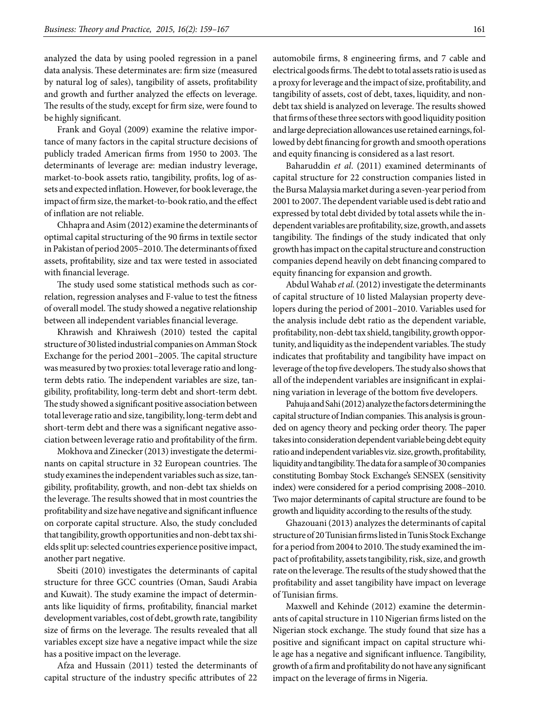analyzed the data by using pooled regression in a panel data analysis. These determinates are: firm size (measured by natural log of sales), tangibility of assets, profitability and growth and further analyzed the effects on leverage. The results of the study, except for firm size, were found to be highly significant.

Frank and Goyal (2009) examine the relative importance of many factors in the capital structure decisions of publicly traded American firms from 1950 to 2003. The determinants of leverage are: median industry leverage, market-to-book assets ratio, tangibility, profits, log of assets and expected inflation. However, for book leverage, the impact of firm size, the market-to-book ratio, and the effect of inflation are not reliable.

Chhapra and Asim (2012) examine the determinants of optimal capital structuring of the 90 firms in textile sector in Pakistan of period 2005–2010. The determinants of fixed assets, profitability, size and tax were tested in associated with financial leverage.

The study used some statistical methods such as correlation, regression analyses and F-value to test the fitness of overall model. The study showed a negative relationship between all independent variables financial leverage.

Khrawish and Khraiwesh (2010) tested the capital structure of 30 listed industrial companies on Amman Stock Exchange for the period 2001–2005. The capital structure was measured by two proxies: total leverage ratio and longterm debts ratio. The independent variables are size, tangibility, profitability, long-term debt and short-term debt. The study showed a significant positive association between total leverage ratio and size, tangibility, long-term debt and short-term debt and there was a significant negative association between leverage ratio and profitability of the firm.

Mokhova and Zinecker (2013) investigate the determinants on capital structure in 32 European countries. The study examines the independent variables such as size, tangibility, profitability, growth, and non-debt tax shields on the leverage. The results showed that in most countries the profitability and size have negative and significant influence on corporate capital structure. Also, the study concluded that tangibility, growth opportunities and non-debt tax shields split up: selected countries experience positive impact, another part negative.

Sbeiti (2010) investigates the determinants of capital structure for three GCC countries (Oman, Saudi Arabia and Kuwait). The study examine the impact of determinants like liquidity of firms, profitability, financial market development variables, cost of debt, growth rate, tangibility size of firms on the leverage. The results revealed that all variables except size have a negative impact while the size has a positive impact on the leverage.

Afza and Hussain (2011) tested the determinants of capital structure of the industry specific attributes of 22

automobile firms, 8 engineering firms, and 7 cable and electrical goods firms. The debt to total assets ratio is used as a proxy for leverage and the impact of size, profitability, and tangibility of assets, cost of debt, taxes, liquidity, and nondebt tax shield is analyzed on leverage. The results showed that firms of these three sectors with good liquidity position and large depreciation allowances use retained earnings, followed by debt financing for growth and smooth operations and equity financing is considered as a last resort.

Baharuddin *et al*. (2011) examined determinants of capital structure for 22 construction companies listed in the Bursa Malaysia market during a seven-year period from 2001 to 2007. The dependent variable used is debt ratio and expressed by total debt divided by total assets while the independent variables are profitability, size, growth, and assets tangibility. The findings of the study indicated that only growth has impact on the capital structure and construction companies depend heavily on debt financing compared to equity financing for expansion and growth.

Abdul Wahab *et al.* (2012) investigate the determinants of capital structure of 10 listed Malaysian property developers during the period of 2001–2010. Variables used for the analysis include debt ratio as the dependent variable, profitability, non-debt tax shield, tangibility, growth opportunity, and liquidity as the independent variables. The study indicates that profitability and tangibility have impact on leverage of the top five developers. The study also shows that all of the independent variables are insignificant in explaining variation in leverage of the bottom five developers.

Pahuja and Sahi (2012) analyze the factors determining the capital structure of Indian companies. This analysis is grounded on agency theory and pecking order theory. The paper takes into consideration dependent variable being debt equity ratio and independent variables viz. size, growth, profitability, liquidity and tangibility. The data for a sample of 30 companies constituting Bombay Stock Exchange's SENSEX (sensitivity index) were considered for a period comprising 2008–2010. Two major determinants of capital structure are found to be growth and liquidity according to the results of the study.

Ghazouani (2013) analyzes the determinants of capital structure of 20 Tunisian firms listed in Tunis Stock Exchange for a period from 2004 to 2010. The study examined the impact of profitability, assets tangibility, risk, size, and growth rate on the leverage. The results of the study showed that the profitability and asset tangibility have impact on leverage of Tunisian firms.

Maxwell and Kehinde (2012) examine the determinants of capital structure in 110 Nigerian firms listed on the Nigerian stock exchange. The study found that size has a positive and significant impact on capital structure while age has a negative and significant influence. Tangibility, growth of a firm and profitability do not have any significant impact on the leverage of firms in Nigeria.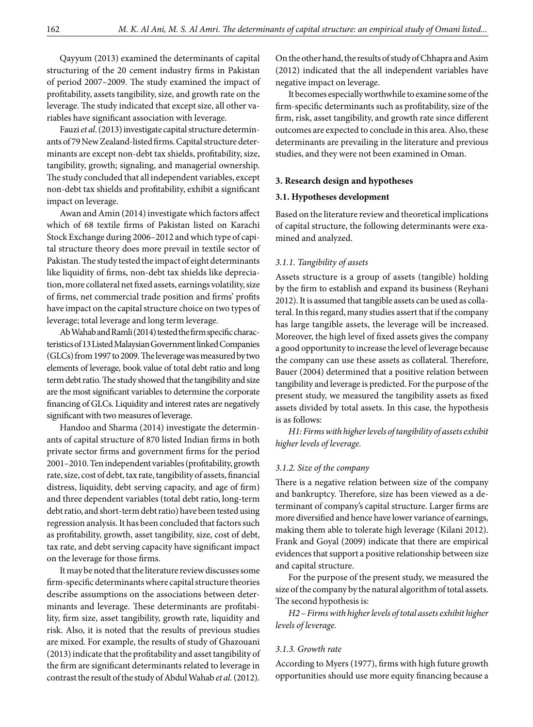Qayyum (2013) examined the determinants of capital structuring of the 20 cement industry firms in Pakistan of period 2007–2009. The study examined the impact of profitability, assets tangibility, size, and growth rate on the leverage. The study indicated that except size, all other variables have significant association with leverage.

Fauzi *et al*. (2013) investigate capital structure determinants of 79 New Zealand-listed firms. Capital structure determinants are except non-debt tax shields, profitability, size, tangibility, growth; signaling, and managerial ownership. The study concluded that all independent variables, except non-debt tax shields and profitability, exhibit a significant impact on leverage.

Awan and Amin (2014) investigate which factors affect which of 68 textile firms of Pakistan listed on Karachi Stock Exchange during 2006–2012 and which type of capital structure theory does more prevail in textile sector of Pakistan. The study tested the impact of eight determinants like liquidity of firms, non-debt tax shields like depreciation, more collateral net fixed assets, earnings volatility, size of firms, net commercial trade position and firms' profits have impact on the capital structure choice on two types of leverage; total leverage and long term leverage.

Ab Wahab and Ramli (2014) tested the firm specific characteristics of 13 Listed Malaysian Government linked Companies (GLCs) from 1997 to 2009. The leverage was measured by two elements of leverage, book value of total debt ratio and long term debt ratio. The study showed that the tangibility and size are the most significant variables to determine the corporate financing of GLCs. Liquidity and interest rates are negatively significant with two measures of leverage.

Handoo and Sharma (2014) investigate the determinants of capital structure of 870 listed Indian firms in both private sector firms and government firms for the period 2001–2010. Ten independent variables (profitability, growth rate, size, cost of debt, tax rate, tangibility of assets, financial distress, liquidity, debt serving capacity, and age of firm) and three dependent variables (total debt ratio, long-term debt ratio, and short-term debt ratio) have been tested using regression analysis. It has been concluded that factors such as profitability, growth, asset tangibility, size, cost of debt, tax rate, and debt serving capacity have significant impact on the leverage for those firms.

It may be noted that the literature review discusses some firm-specific determinants where capital structure theories describe assumptions on the associations between determinants and leverage. These determinants are profitability, firm size, asset tangibility, growth rate, liquidity and risk. Also, it is noted that the results of previous studies are mixed. For example, the results of study of Ghazouani (2013) indicate that the profitability and asset tangibility of the firm are significant determinants related to leverage in contrast the result of the study of Abdul Wahab *et al.* (2012).

On the other hand, the results of study of Chhapra and Asim (2012) indicated that the all independent variables have negative impact on leverage.

It becomes especially worthwhile to examine some of the firm-specific determinants such as profitability, size of the firm, risk, asset tangibility, and growth rate since different outcomes are expected to conclude in this area. Also, these determinants are prevailing in the literature and previous studies, and they were not been examined in Oman.

#### **3. Research design and hypotheses**

## **3.1. Hypotheses development**

Based on the literature review and theoretical implications of capital structure, the following determinants were examined and analyzed.

## *3.1.1. Tangibility of assets*

Assets structure is a group of assets (tangible) holding by the firm to establish and expand its business (Reyhani 2012). It is assumed that tangible assets can be used as collateral. In this regard, many studies assert that if the company has large tangible assets, the leverage will be increased. Moreover, the high level of fixed assets gives the company a good opportunity to increase the level of leverage because the company can use these assets as collateral. Therefore, Bauer (2004) determined that a positive relation between tangibility and leverage is predicted. For the purpose of the present study, we measured the tangibility assets as fixed assets divided by total assets. In this case, the hypothesis is as follows:

*H1: Firms with higher levels of tangibility of assets exhibit higher levels of leverage.*

## *3.1.2. Size of the company*

There is a negative relation between size of the company and bankruptcy. Therefore, size has been viewed as a determinant of company's capital structure. Larger firms are more diversified and hence have lower variance of earnings, making them able to tolerate high leverage (Kilani 2012). Frank and Goyal (2009) indicate that there are empirical evidences that support a positive relationship between size and capital structure.

For the purpose of the present study, we measured the size of the company by the natural algorithm of total assets. The second hypothesis is:

*H2 – Firms with higher levels of total assets exhibit higher levels of leverage.*

## *3.1.3. Growth rate*

According to Myers (1977), firms with high future growth opportunities should use more equity financing because a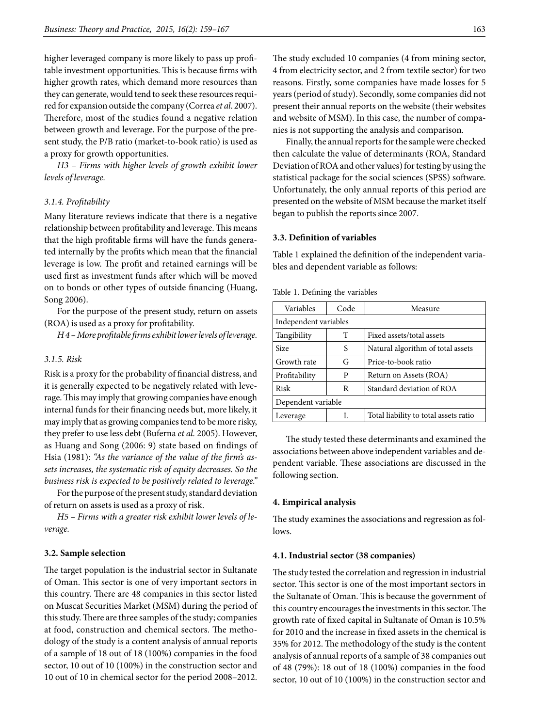higher leveraged company is more likely to pass up profitable investment opportunities. This is because firms with higher growth rates, which demand more resources than they can generate, would tend to seek these resources required for expansion outside the company (Correa *et al*. 2007). Therefore, most of the studies found a negative relation between growth and leverage. For the purpose of the present study, the P/B ratio (market-to-book ratio) is used as a proxy for growth opportunities.

*H3 – Firms with higher levels of growth exhibit lower levels of leverage.*

## *3.1.4. Profitability*

Many literature reviews indicate that there is a negative relationship between profitability and leverage. This means that the high profitable firms will have the funds generated internally by the profits which mean that the financial leverage is low. The profit and retained earnings will be used first as investment funds after which will be moved on to bonds or other types of outside financing (Huang, Song 2006).

For the purpose of the present study, return on assets (ROA) is used as a proxy for profitability.

*H 4 – More profitable firms exhibit lower levels of leverage.*

## *3.1.5. Risk*

Risk is a proxy for the probability of financial distress, and it is generally expected to be negatively related with leverage. This may imply that growing companies have enough internal funds for their financing needs but, more likely, it may imply that as growing companies tend to be more risky, they prefer to use less debt (Buferna *et al.* 2005). However, as Huang and Song (2006: 9) state based on findings of Hsia (1981): *"As the variance of the value of the firm's assets increases, the systematic risk of equity decreases. So the business risk is expected to be positively related to leverage."*

For the purpose of the present study, standard deviation of return on assets is used as a proxy of risk.

*H5 – Firms with a greater risk exhibit lower levels of leverage.*

## **3.2. Sample selection**

The target population is the industrial sector in Sultanate of Oman. This sector is one of very important sectors in this country. There are 48 companies in this sector listed on Muscat Securities Market (MSM) during the period of this study. There are three samples of the study; companies at food, construction and chemical sectors. The methodology of the study is a content analysis of annual reports of a sample of 18 out of 18 (100%) companies in the food sector, 10 out of 10 (100%) in the construction sector and 10 out of 10 in chemical sector for the period 2008–2012.

The study excluded 10 companies (4 from mining sector, 4 from electricity sector, and 2 from textile sector) for two reasons. Firstly, some companies have made losses for 5 years (period of study). Secondly, some companies did not present their annual reports on the website (their websites

nies is not supporting the analysis and comparison. Finally, the annual reports for the sample were checked then calculate the value of determinants (ROA, Standard Deviation of ROA and other values) for testing by using the statistical package for the social sciences (SPSS) software. Unfortunately, the only annual reports of this period are presented on the website of MSM because the market itself began to publish the reports since 2007.

and website of MSM). In this case, the number of compa-

#### **3.3. Definition of variables**

Table 1 explained the definition of the independent variables and dependent variable as follows:

| Variables             | Code | Measure                               |  |  |  |  |
|-----------------------|------|---------------------------------------|--|--|--|--|
| Independent variables |      |                                       |  |  |  |  |
| Tangibility           | Т    | Fixed assets/total assets             |  |  |  |  |
| <b>Size</b>           | S    | Natural algorithm of total assets     |  |  |  |  |
| Growth rate           | G    | Price-to-book ratio                   |  |  |  |  |
| Profitability         | P    | Return on Assets (ROA)                |  |  |  |  |
| Risk                  | R    | Standard deviation of ROA             |  |  |  |  |
| Dependent variable    |      |                                       |  |  |  |  |
| Leverage              |      | Total liability to total assets ratio |  |  |  |  |

Table 1. Defining the variables

The study tested these determinants and examined the associations between above independent variables and dependent variable. These associations are discussed in the following section.

#### **4. Empirical analysis**

The study examines the associations and regression as follows.

## **4.1. Industrial sector (38 companies)**

The study tested the correlation and regression in industrial sector. This sector is one of the most important sectors in the Sultanate of Oman. This is because the government of this country encourages the investments in this sector. The growth rate of fixed capital in Sultanate of Oman is 10.5% for 2010 and the increase in fixed assets in the chemical is 35% for 2012. The methodology of the study is the content analysis of annual reports of a sample of 38 companies out of 48 (79%): 18 out of 18 (100%) companies in the food sector, 10 out of 10 (100%) in the construction sector and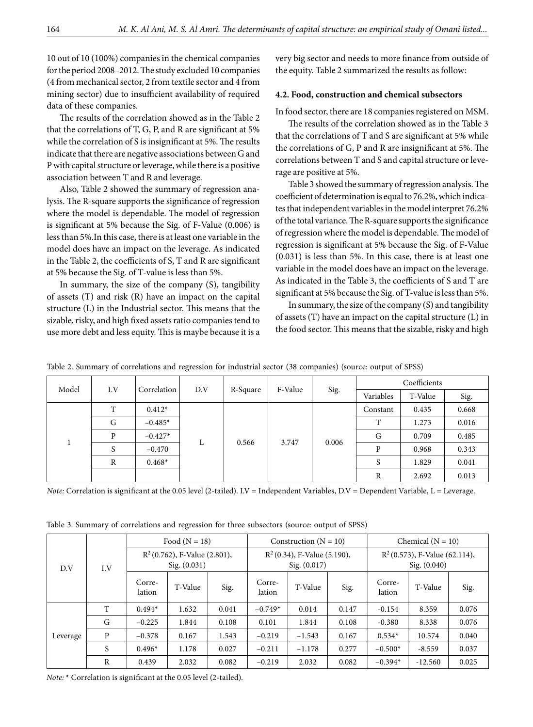10 out of 10 (100%) companies in the chemical companies for the period 2008–2012. The study excluded 10 companies (4 from mechanical sector, 2 from textile sector and 4 from mining sector) due to insufficient availability of required data of these companies.

The results of the correlation showed as in the Table 2 that the correlations of T, G, P, and R are significant at 5% while the correlation of S is insignificant at 5%. The results indicate that there are negative associations between G and P with capital structure or leverage, while there is a positive association between T and R and leverage.

Also, Table 2 showed the summary of regression analysis. The R-square supports the significance of regression where the model is dependable. The model of regression is significant at 5% because the Sig. of F-Value (0.006) is less than 5%.In this case, there is at least one variable in the model does have an impact on the leverage. As indicated in the Table 2, the coefficients of S, T and R are significant at 5% because the Sig. of T-value is less than 5%.

In summary, the size of the company (S), tangibility of assets (T) and risk (R) have an impact on the capital structure (L) in the Industrial sector. This means that the sizable, risky, and high fixed assets ratio companies tend to use more debt and less equity. This is maybe because it is a very big sector and needs to more finance from outside of the equity. Table 2 summarized the results as follow:

## **4.2. Food, construction and chemical subsectors**

In food sector, there are 18 companies registered on MSM.

The results of the correlation showed as in the Table 3 that the correlations of T and S are significant at 5% while the correlations of G, P and R are insignificant at 5%. The correlations between T and S and capital structure or leverage are positive at 5%.

Table 3 showed the summary of regression analysis. The coefficient of determination is equal to 76.2%, which indicates that independent variables in the model interpret 76.2% of the total variance. The R-square supports the significance of regression where the model is dependable. The model of regression is significant at 5% because the Sig. of F-Value (0.031) is less than 5%. In this case, there is at least one variable in the model does have an impact on the leverage. As indicated in the Table 3, the coefficients of S and T are significant at 5% because the Sig. of T-value is less than 5%.

In summary, the size of the company (S) and tangibility of assets (T) have an impact on the capital structure (L) in the food sector. This means that the sizable, risky and high

| Model<br>I.V | Correlation    | D.V       | R-Square | F-Value | Sig. | Coefficients |          |       |       |
|--------------|----------------|-----------|----------|---------|------|--------------|----------|-------|-------|
|              |                |           |          |         |      | Variables    | T-Value  | Sig.  |       |
|              | T              | $0.412*$  |          |         |      |              | Constant | 0.435 | 0.668 |
|              | G              | $-0.485*$ |          |         |      |              | Τ        | 1.273 | 0.016 |
|              | P<br>$-0.427*$ |           |          | 3.747   |      | G            | 0.709    | 0.485 |       |
|              | S              | $-0.470$  | L        | 0.566   |      | 0.006        | P        | 0.968 | 0.343 |
|              | R              | $0.468*$  |          |         |      |              | S        | 1.829 | 0.041 |
|              |                |           |          |         |      | R            | 2.692    | 0.013 |       |

Table 2. Summary of correlations and regression for industrial sector (38 companies) (source: output of SPSS)

*Note:* Correlation is significant at the 0.05 level (2-tailed). I.V = Independent Variables, D.V = Dependent Variable, L = Leverage.

| Table 3. Summary of correlations and regression for three subsectors (source: output of SPSS) |  |  |  |
|-----------------------------------------------------------------------------------------------|--|--|--|
|                                                                                               |  |  |  |

|            |                                                 | Food $(N = 18)$  |         |                                                  | Construction ( $N = 10$ ) |          |                                                  | Chemical $(N = 10)$ |           |       |
|------------|-------------------------------------------------|------------------|---------|--------------------------------------------------|---------------------------|----------|--------------------------------------------------|---------------------|-----------|-------|
| D.V<br>I.V | $R^2$ (0.762), F-Value (2.801),<br>Sig. (0.031) |                  |         | $R^2(0.34)$ , F-Value (5.190),<br>Sig. $(0.017)$ |                           |          | $R^2(0.573)$ , F-Value (62.114),<br>Sig. (0.040) |                     |           |       |
|            |                                                 | Corre-<br>lation | T-Value | Sig.                                             | Corre-<br>lation          | T-Value  | Sig.                                             | Corre-<br>lation    | T-Value   | Sig.  |
|            | T                                               | $0.494*$         | 1.632   | 0.041                                            | $-0.749*$                 | 0.014    | 0.147                                            | $-0.154$            | 8.359     | 0.076 |
|            | G                                               | $-0.225$         | 1.844   | 0.108                                            | 0.101                     | 1.844    | 0.108                                            | $-0.380$            | 8.338     | 0.076 |
| Leverage   | P                                               | $-0.378$         | 0.167   | 1.543                                            | $-0.219$                  | $-1.543$ | 0.167                                            | $0.534*$            | 10.574    | 0.040 |
|            | S                                               | $0.496*$         | 1.178   | 0.027                                            | $-0.211$                  | $-1.178$ | 0.277                                            | $-0.500*$           | $-8.559$  | 0.037 |
|            | R                                               | 0.439            | 2.032   | 0.082                                            | $-0.219$                  | 2.032    | 0.082                                            | $-0.394*$           | $-12.560$ | 0.025 |

*Note:* \* Correlation is significant at the 0.05 level (2-tailed).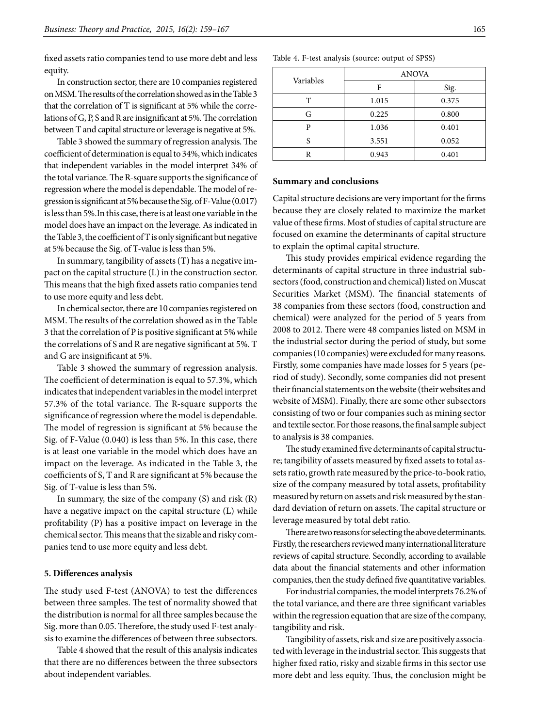fixed assets ratio companies tend to use more debt and less equity.

In construction sector, there are 10 companies registered on MSM. The results of the correlation showed as in the Table 3 that the correlation of T is significant at 5% while the correlations of G, P, S and R are insignificant at 5%. The correlation between T and capital structure or leverage is negative at 5%.

Table 3 showed the summary of regression analysis. The coefficient of determination is equal to 34%, which indicates that independent variables in the model interpret 34% of the total variance. The R-square supports the significance of regression where the model is dependable. The model of regression is significant at 5% because the Sig. of F-Value (0.017) is less than 5%.In this case, there is at least one variable in the model does have an impact on the leverage. As indicated in the Table 3, the coefficient of T is only significant but negative at 5% because the Sig. of T-value is less than 5%.

In summary, tangibility of assets (T) has a negative impact on the capital structure (L) in the construction sector. This means that the high fixed assets ratio companies tend to use more equity and less debt.

In chemical sector, there are 10 companies registered on MSM. The results of the correlation showed as in the Table 3 that the correlation of P is positive significant at 5% while the correlations of S and R are negative significant at 5%. T and G are insignificant at 5%.

Table 3 showed the summary of regression analysis. The coefficient of determination is equal to 57.3%, which indicates that independent variables in the model interpret 57.3% of the total variance. The R-square supports the significance of regression where the model is dependable. The model of regression is significant at 5% because the Sig. of F-Value (0.040) is less than 5%. In this case, there is at least one variable in the model which does have an impact on the leverage. As indicated in the Table 3, the coefficients of S, T and R are significant at 5% because the Sig. of T-value is less than 5%.

In summary, the size of the company (S) and risk (R) have a negative impact on the capital structure (L) while profitability (P) has a positive impact on leverage in the chemical sector. This means that the sizable and risky companies tend to use more equity and less debt.

#### **5. Differences analysis**

The study used F-test (ANOVA) to test the differences between three samples. The test of normality showed that the distribution is normal for all three samples because the Sig. more than 0.05. Therefore, the study used F-test analysis to examine the differences of between three subsectors.

Table 4 showed that the result of this analysis indicates that there are no differences between the three subsectors about independent variables.

|           | <b>ANOVA</b> |       |  |  |  |
|-----------|--------------|-------|--|--|--|
| Variables | F            | Sig.  |  |  |  |
| т         | 1.015        | 0.375 |  |  |  |
| G         | 0.225        | 0.800 |  |  |  |
| D         | 1.036        | 0.401 |  |  |  |
|           | 3.551        | 0.052 |  |  |  |
|           | 0.943        | 0.401 |  |  |  |

Table 4. F-test analysis (source: output of SPSS)

#### **Summary and conclusions**

Capital structure decisions are very important for the firms because they are closely related to maximize the market value of these firms. Most of studies of capital structure are focused on examine the determinants of capital structure to explain the optimal capital structure.

This study provides empirical evidence regarding the determinants of capital structure in three industrial subsectors (food, construction and chemical) listed on Muscat Securities Market (MSM). The financial statements of 38 companies from these sectors (food, construction and chemical) were analyzed for the period of 5 years from 2008 to 2012. There were 48 companies listed on MSM in the industrial sector during the period of study, but some companies (10 companies) were excluded for many reasons. Firstly, some companies have made losses for 5 years (period of study). Secondly, some companies did not present their financial statements on the website (their websites and website of MSM). Finally, there are some other subsectors consisting of two or four companies such as mining sector and textile sector. For those reasons, the final sample subject to analysis is 38 companies.

The study examined five determinants of capital structure; tangibility of assets measured by fixed assets to total assets ratio, growth rate measured by the price-to-book ratio, size of the company measured by total assets, profitability measured by return on assets and risk measured by the standard deviation of return on assets. The capital structure or leverage measured by total debt ratio.

There are two reasons for selecting the above determinants. Firstly, the researchers reviewed many international literature reviews of capital structure. Secondly, according to available data about the financial statements and other information companies, then the study defined five quantitative variables.

For industrial companies, the model interprets 76.2% of the total variance, and there are three significant variables within the regression equation that are size of the company, tangibility and risk.

Tangibility of assets, risk and size are positively associated with leverage in the industrial sector. This suggests that higher fixed ratio, risky and sizable firms in this sector use more debt and less equity. Thus, the conclusion might be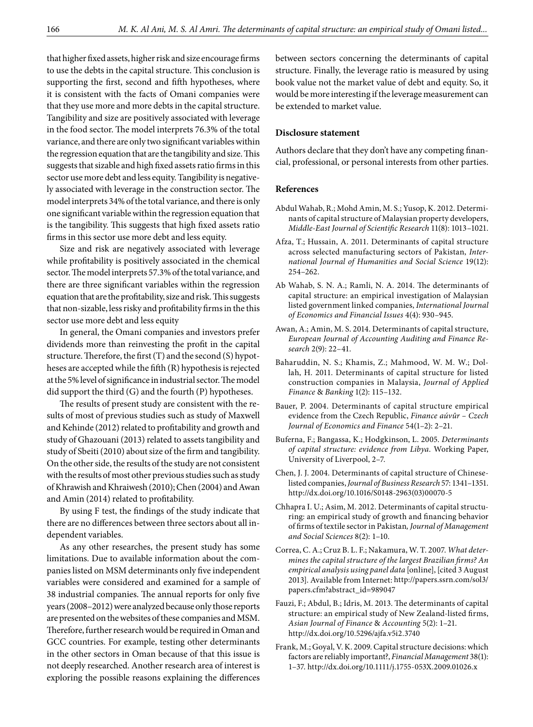that higher fixed assets, higher risk and size encourage firms to use the debts in the capital structure. This conclusion is supporting the first, second and fifth hypotheses, where it is consistent with the facts of Omani companies were that they use more and more debts in the capital structure. Tangibility and size are positively associated with leverage in the food sector. The model interprets 76.3% of the total variance, and there are only two significant variables within the regression equation that are the tangibility and size. This suggests that sizable and high fixed assets ratio firms in this sector use more debt and less equity. Tangibility is negatively associated with leverage in the construction sector. The model interprets 34% of the total variance, and there is only one significant variable within the regression equation that is the tangibility. This suggests that high fixed assets ratio firms in this sector use more debt and less equity.

Size and risk are negatively associated with leverage while profitability is positively associated in the chemical sector. The model interprets 57.3% of the total variance, and there are three significant variables within the regression equation that are the profitability, size and risk. This suggests that non-sizable, less risky and profitability firms in the this sector use more debt and less equity

In general, the Omani companies and investors prefer dividends more than reinvesting the profit in the capital structure. Therefore, the first (T) and the second (S) hypotheses are accepted while the fifth (R) hypothesis is rejected at the 5% level of significance in industrial sector. The model did support the third (G) and the fourth (P) hypotheses.

The results of present study are consistent with the results of most of previous studies such as study of Maxwell and Kehinde (2012) related to profitability and growth and study of Ghazouani (2013) related to assets tangibility and study of Sbeiti (2010) about size of the firm and tangibility. On the other side, the results of the study are not consistent with the results of most other previous studies such as study of Khrawish and Khraiwesh (2010); Chen (2004) and Awan and Amin (2014) related to profitability.

By using F test, the findings of the study indicate that there are no differences between three sectors about all independent variables.

As any other researches, the present study has some limitations. Due to available information about the companies listed on MSM determinants only five independent variables were considered and examined for a sample of 38 industrial companies. The annual reports for only five years (2008–2012) were analyzed because only those reports are presented on the websites of these companies and MSM. Therefore, further research would be required in Oman and GCC countries. For example, testing other determinants in the other sectors in Oman because of that this issue is not deeply researched. Another research area of interest is exploring the possible reasons explaining the differences

between sectors concerning the determinants of capital structure. Finally, the leverage ratio is measured by using book value not the market value of debt and equity. So, it would be more interesting if the leverage measurement can be extended to market value.

# **Disclosure statement**

Authors declare that they don't have any competing financial, professional, or personal interests from other parties.

#### **References**

- Abdul Wahab, R.; Mohd Amin, M. S.; Yusop, K. 2012. Determinants of capital structure of Malaysian property developers, *Middle-East Journal of Scientific Research* 11(8): 1013–1021.
- Afza, T.; Hussain, A. 2011. Determinants of capital structure across selected manufacturing sectors of Pakistan, *International Journal of Humanities and Social Science* 19(12): 254–262.
- Ab Wahab, S. N. A.; Ramli, N. A. 2014. The determinants of capital structure: an empirical investigation of Malaysian listed government linked companies, *International Journal of Economics and Financial Issues* 4(4): 930–945.
- Awan, A.; Amin, M. S. 2014. Determinants of capital structure, *European Journal of Accounting Auditing and Finance Research* 2(9): 22–41.
- Baharuddin, N. S.; Khamis, Z.; Mahmood, W. M. W.; Dollah, H. 2011. Determinants of capital structure for listed construction companies in Malaysia, *Journal of Applied Finance* & *Banking* 1(2): 115–132.
- Bauer, P. 2004. Determinants of capital structure empirical evidence from the Czech Republic, *Finance aúvûr – Czech Journal of Economics and Finance* 54(1–2): 2–21.
- Buferna, F.; Bangassa, K.; Hodgkinson, L. 2005. *Determinants of capital structure: evidence from Libya*. Working Paper, University of Liverpool, 2–7.
- Chen, J. J. 2004. Determinants of capital structure of Chineselisted companies, *Journal of Business Research* 57: 1341–1351. [http://dx.doi.org/10.1016/S0148-2963\(03\)00070-5](http://dx.doi.org/10.1016/S0148-2963(03)00070-5)
- Chhapra I. U.; Asim, M. 2012. Determinants of capital structuring: an empirical study of growth and financing behavior of firms of textile sector in Pakistan*, Journal of Management and Social Sciences* 8(2): 1–10.
- Correa, C. A.; Cruz B. L. F.; Nakamura, W. T. 2007. *What determines the capital structure of the largest Brazilian firms? An empirical analysis using panel data* [online], [cited 3 August 2013]. Available from Internet: [http://papers.ssrn.com/sol3/](http://papers.ssrn.com/sol3/papers.cfm?abstract_id=989047) [papers.cfm?abstract\\_id=989047](http://papers.ssrn.com/sol3/papers.cfm?abstract_id=989047)
- Fauzi, F.; Abdul, B.; Idris, M. 2013. The determinants of capital structure: an empirical study of New Zealand-listed firms, *Asian Journal of Finance* & *Accounting* 5(2): 1–21. <http://dx.doi.org/10.5296/ajfa.v5i2.3740>
- Frank, M.; Goyal, V. K. 2009. Capital structure decisions: which factors are reliably important?, *Financial Management* 38(1): 1–37.<http://dx.doi.org/10.1111/j.1755-053X.2009.01026.x>